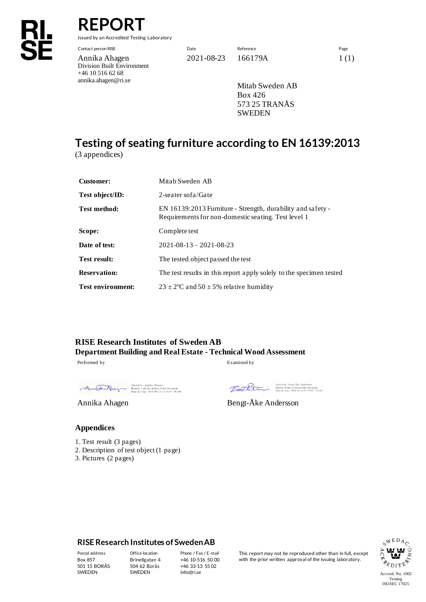# **REPOR**

Issued by an Accredited Testing Laboratory

Contact person RISE Date Reference Page Annika Ahagen 2021-08-23 166179A 1(1) Division Built Environment +46 10 516 62 68 annika.ahagen@ri.se

Mitab Sweden AB Box 426 573 25 TRANÅS SWEDEN

# **Testing of seating furniture according to EN 16139:2013**

(3 appendices)

| <b>Customer:</b>         | Mitab Sweden AB                                                                                                    |  |
|--------------------------|--------------------------------------------------------------------------------------------------------------------|--|
| Test object/ID:          | 2-seater sof a/Gate                                                                                                |  |
| Test method:             | EN 16139:2013 Furniture - Strength, durability and safety -<br>Requirements for non-domestic seating. Test level 1 |  |
| Scope:                   | Complete test                                                                                                      |  |
| Date of test:            | $2021 - 08 - 13 - 2021 - 08 - 23$                                                                                  |  |
| Test result:             | The tested object passed the test                                                                                  |  |
| <b>Reservation:</b>      | The test results in this report apply solely to the specimen tested                                                |  |
| <b>Test environment:</b> | $23 \pm 2^{\circ}$ C and $50 \pm 5\%$ relative humidity                                                            |  |

**RISE Research Institutes of Sweden AB Department Building and Real Estate - Technical Wood Assessment** Performed by Examined by

Signed by: Annika Ahagen<br>
Reason: 1 am the author of this document<br>
Date & Time: 2021-08-23 14:29:07 +02:00

Signed by: Bengt-Åke Andersson<br>Reason: I have reviewed this document<br>Date & Time: 2021-08-24 11:59:07 +02:00 Benthin

Annika Ahagen Bengt-Åke Andersson

#### **Appendices**

- 1. Test result (3 pages)
- 2. Description of test object (1 page)
- 3. Pictures (2 pages)

#### **RISE Research Institutes of Sweden AB**

501 15 BORÅS SWEDEN

Brinellgatan 4 504 62 Borås SWEDEN

+46 10-516 50 00 +46 33-13 55 02 info@ri.se

Postal address Office location Phone / Fax / E-mail This report may not be reproduced other than in full, except<br>Box 857 Brinellgatan 4 +46 10-516 50 00 with the prior written approval of the issuing laboratory. with the prior written approval of the issuing laboratory.

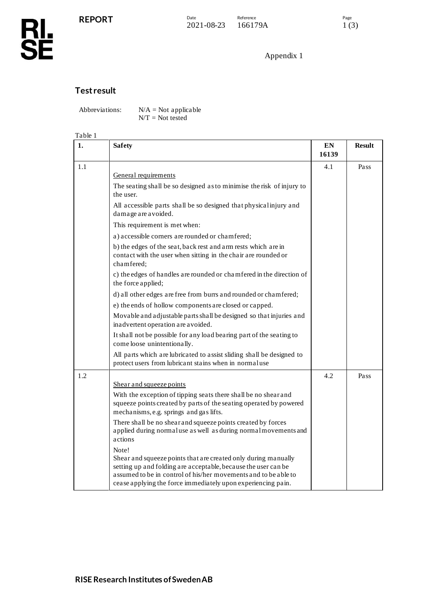# **RL<br>SE**

### Appendix 1

## **Test result**

Abbreviations:  $N/A = Not$  applicable N/T = Not tested

#### Table 1

| 1.  | <b>Safety</b>                                                                                                                                                                                                                                                                | EN<br>16139 | <b>Result</b> |
|-----|------------------------------------------------------------------------------------------------------------------------------------------------------------------------------------------------------------------------------------------------------------------------------|-------------|---------------|
| 1.1 | General requirements                                                                                                                                                                                                                                                         | 4.1         | Pass          |
|     | The seating shall be so designed as to minimise the risk of injury to<br>the user.                                                                                                                                                                                           |             |               |
|     | All accessible parts shall be so designed that physical injury and<br>damage are avoided.                                                                                                                                                                                    |             |               |
|     | This requirement is met when:                                                                                                                                                                                                                                                |             |               |
|     | a) accessible corners are rounded or chamfered;                                                                                                                                                                                                                              |             |               |
|     | b) the edges of the seat, back rest and arm rests which are in<br>contact with the user when sitting in the chair are rounded or<br>chamfered;                                                                                                                               |             |               |
|     | c) the edges of handles are rounded or chamfered in the direction of<br>the force applied;                                                                                                                                                                                   |             |               |
|     | d) all other edges are free from burrs and rounded or chamfered;                                                                                                                                                                                                             |             |               |
|     | e) the ends of hollow components are closed or capped.                                                                                                                                                                                                                       |             |               |
|     | Movable and adjustable parts shall be designed so that injuries and<br>inadvertent operation are avoided.                                                                                                                                                                    |             |               |
|     | It shall not be possible for any load bearing part of the seating to<br>come loose unintentionally.                                                                                                                                                                          |             |               |
|     | All parts which are lubricated to assist sliding shall be designed to<br>protect users from lubricant stains when in normal use                                                                                                                                              |             |               |
| 1.2 |                                                                                                                                                                                                                                                                              | 4.2         | Pass          |
|     | Shear and squeeze points                                                                                                                                                                                                                                                     |             |               |
|     | With the exception of tipping seats there shall be no shear and<br>squeeze points created by parts of the seating operated by powered<br>mechanisms, e.g. springs and gas lifts.                                                                                             |             |               |
|     | There shall be no shear and squeeze points created by forces<br>applied during normaluse as well as during normal movements and<br>actions                                                                                                                                   |             |               |
|     | Note!<br>Shear and squeeze points that are created only during manually<br>setting up and folding are acceptable, because the user can be<br>assumed to be in control of his/her movements and to be able to<br>cease applying the force immediately upon experiencing pain. |             |               |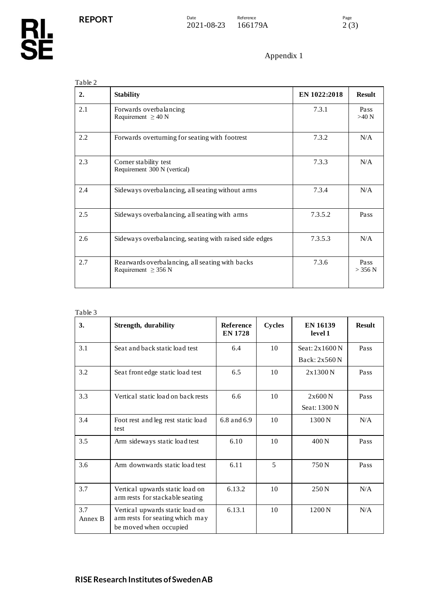| 2.  | <b>Stability</b>                                                            | EN 1022:2018 | <b>Result</b>   |
|-----|-----------------------------------------------------------------------------|--------------|-----------------|
| 2.1 | Forwards overbalancing<br>Requirement $\geq 40$ N                           | 7.3.1        | Pass<br>$>40$ N |
| 2.2 | Forwards overturning for seating with footrest                              | 7.3.2        | N/A             |
| 2.3 | Corner stability test<br>Requirement 300 N (vertical)                       | 7.3.3        | N/A             |
| 2.4 | Sideways overbalancing, all seating without arms                            | 7.3.4        | N/A             |
| 2.5 | Sideways overbalancing, all seating with arms                               | 7.3.5.2      | Pass            |
| 2.6 | Sideways overbalancing, seating with raised side edges                      | 7.3.5.3      | N/A             |
| 2.7 | Rearwards overbalancing, all seating with backs<br>Requirement $\geq$ 356 N | 7.3.6        | Pass<br>> 356 N |

| Table 3        |                                                                                              |                                    |               |                            |               |
|----------------|----------------------------------------------------------------------------------------------|------------------------------------|---------------|----------------------------|---------------|
| 3.             | <b>Strength, durability</b>                                                                  | <b>Reference</b><br><b>EN 1728</b> | <b>Cycles</b> | <b>EN 16139</b><br>level 1 | <b>Result</b> |
| 3.1            | Seat and back static load test                                                               | 6.4                                | 10            | Seat: $2x1600N$            | Pass          |
|                |                                                                                              |                                    |               | Back: 2x560 N              |               |
| 3.2            | Seat front edge static load test                                                             | 6.5                                | 10            | 2x1300N                    | Pass          |
| 3.3            | Vertical static load on back rests                                                           | 6.6                                | 10            | 2x600N                     | Pass          |
|                |                                                                                              |                                    |               | Seat: 1300 N               |               |
| 3.4            | Foot rest and leg rest static load<br>test                                                   | 6.8 and 6.9                        | 10            | 1300 N                     | N/A           |
| 3.5            | Arm sideways static load test                                                                | 6.10                               | 10            | 400N                       | Pass          |
| 3.6            | Arm downwards static load test                                                               | 6.11                               | 5             | 750 <sub>N</sub>           | Pass          |
| 3.7            | Vertical upwards static load on<br>arm rests for stackable seating                           | 6.13.2                             | 10            | 250 <sub>N</sub>           | N/A           |
| 3.7<br>Annex B | Vertical upwards static load on<br>arm rests for seating which may<br>be moved when occupied | 6.13.1                             | 10            | 1200 N                     | N/A           |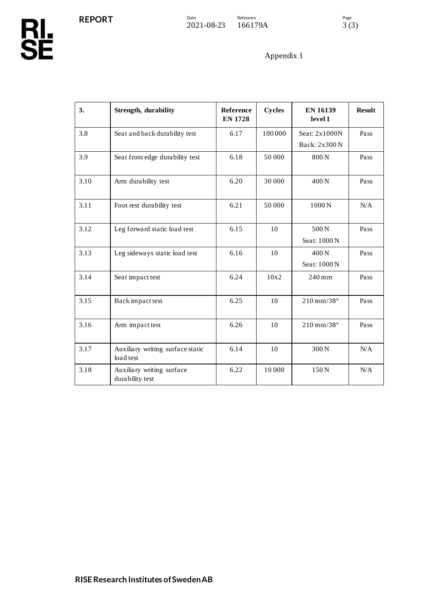| 3.   | <b>Strength, durability</b>                   | Reference<br><b>EN 1728</b> | <b>Cycles</b> | <b>EN 16139</b><br>level 1   | <b>Result</b> |
|------|-----------------------------------------------|-----------------------------|---------------|------------------------------|---------------|
| 3.8  | Seat and back durability test                 | 6.17                        | 100000        | Seat: 2x1000N                | Pass          |
|      |                                               |                             |               | Back: 2x300 N                |               |
| 3.9  | Seat front edge durability test               | 6.18                        | 50 000        | 800N                         | Pass          |
| 3.10 | Arm durability test                           | 6.20                        | 30 000        | 400 <sub>N</sub>             | Pass          |
| 3.11 | Foot rest durability test                     | 6.21                        | 50 000        | 1000N                        | N/A           |
| 3.12 | Leg forward static load test                  | 6.15                        | 10            | 500N                         | Pass          |
|      |                                               |                             |               | Seat: 1000 N                 |               |
| 3.13 | Leg sideways static load test                 | 6.16                        | 10            | 400 <sub>N</sub>             | Pass          |
|      |                                               |                             |               | Seat: 1000 N                 |               |
| 3.14 | Seat impact test                              | 6.24                        | 10x2          | 240 mm                       | Pass          |
| 3.15 | Back impact test                              | 6.25                        | 10            | $210 \,\mathrm{mm}/38^\circ$ | Pass          |
| 3.16 | Arm impact test                               | 6.26                        | 10            | $210 \,\mathrm{mm}/38^\circ$ | Pass          |
| 3.17 | Auxiliary writing surface static<br>load test | 6.14                        | 10            | 300N                         | N/A           |
| 3.18 | Auxiliary writing surface<br>durability test  | 6.22                        | 10 000        | 150N                         | N/A           |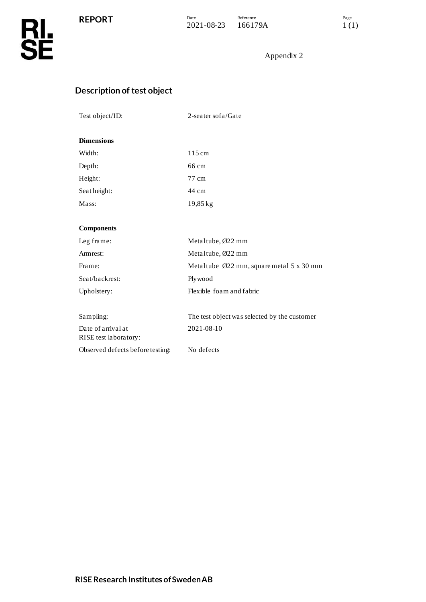

## **Description of test object**

| Test object/ID: | 2-seater sof a/Gate |
|-----------------|---------------------|
|                 |                     |

#### **Dimensions**

| Width:      | 115 cm             |
|-------------|--------------------|
| Depth:      | 66 cm              |
| Height:     | 77 cm              |
| Seatheight: | 44 cm              |
| Mass:       | $19,85 \text{ kg}$ |

#### **Components**

| Leg frame:                                  | Metal tube, $\varnothing$ 22 mm                      |
|---------------------------------------------|------------------------------------------------------|
| Armrest:                                    | Metaltube, $\varnothing$ 22 mm                       |
| Frame:                                      | Metal tube $\emptyset$ 22 mm, square metal 5 x 30 mm |
| Seat/backrest:                              | Plywood                                              |
| Upholstery:                                 | Flexible foam and fabric                             |
| Sampling:                                   | The test object was selected by the customer         |
| Date of arrival at<br>RISE test laboratory: | 2021-08-10                                           |
| Observed defects before testing:            | No defects                                           |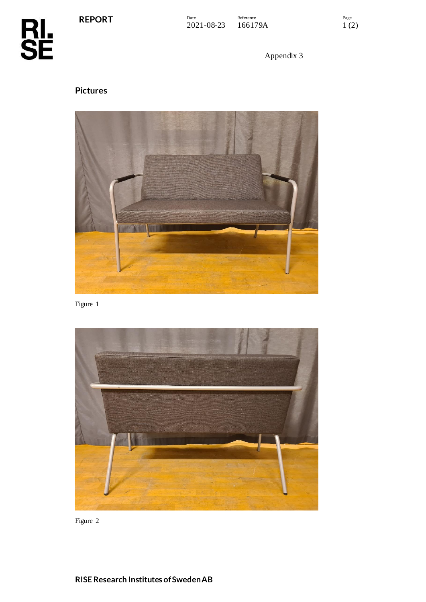**REPORT**

**RL<br>SE** 

Appendix 3

# **Pictures**



Figure 1



Figure 2